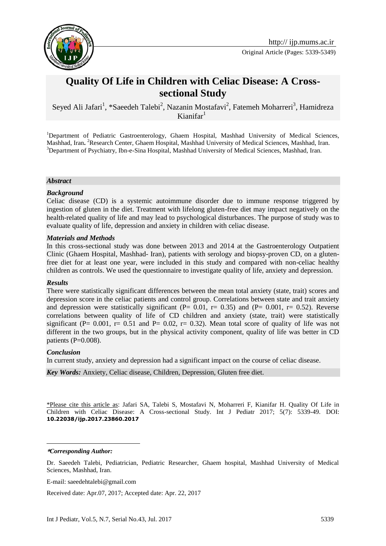

Original Article (Pages: 5339-5349)

# **Quality Of Life in Children with Celiac Disease: A Crosssectional Study**

Seyed Ali Jafari<sup>1</sup>, \*Saeedeh Talebi<sup>2</sup>, Nazanin Mostafavi<sup>2</sup>, Fatemeh Moharreri<sup>3</sup>, Hamidreza Kianifar $1$ 

<sup>1</sup>Department of Pediatric Gastroenterology, Ghaem Hospital, Mashhad University of Medical Sciences, Mashhad, Iran**.**  <sup>2</sup>Research Center, Ghaem Hospital, Mashhad University of Medical Sciences, Mashhad, Iran. <sup>3</sup>Department of Psychiatry, Ibn-e-Sina Hospital, Mashhad University of Medical Sciences, Mashhad, Iran.

#### *Abstract*

#### *Background*

Celiac disease (CD) is a systemic autoimmune disorder due to immune response triggered by ingestion of gluten in the diet. Treatment with lifelong gluten-free diet may impact negatively on the health-related quality of life and may lead to psychological disturbances. The purpose of study was to evaluate quality of life, depression and anxiety in children with celiac disease.

#### *Materials and Methods*

In this cross-sectional study was done between 2013 and 2014 at the Gastroenterology Outpatient Clinic (Ghaem Hospital, Mashhad- Iran), patients with serology and biopsy-proven CD, on a glutenfree diet for at least one year, were included in this study and compared with non-celiac healthy children as controls. We used the questionnaire to investigate quality of life, anxiety and depression.

#### *Results*

There were statistically significant differences between the mean total anxiety (state, trait) scores and depression score in the celiac patients and control group. Correlations between state and trait anxiety and depression were statistically significant ( $P= 0.01$ ,  $r= 0.35$ ) and ( $P= 0.001$ ,  $r= 0.52$ ). Reverse correlations between quality of life of CD children and anxiety (state, trait) were statistically significant (P=  $0.001$ , r=  $0.51$  and P=  $0.02$ , r=  $0.32$ ). Mean total score of quality of life was not different in the two groups, but in the physical activity component, quality of life was better in CD patients  $(P=0.008)$ .

#### *Conclusion*

In current study, anxiety and depression had a significant impact on the course of celiac disease.

*Key Words:* Anxiety, Celiac disease, Children, Depression, Gluten free diet.

\*Please cite this article as: Jafari SA, Talebi S, Mostafavi N, Moharreri F, Kianifar H. Quality Of Life in Children with Celiac Disease: A Cross-sectional Study. Int J Pediatr 2017; 5(7): 5339-49. DOI: **10.22038/ijp.2017.23860.2017**

**\****Corresponding Author:*

1

E-mail: saeedehtalebi@gmail.com

Received date: Apr.07, 2017; Accepted date: Apr. 22, 2017

Dr. Saeedeh Talebi, Pediatrician, Pediatric Researcher, Ghaem hospital, Mashhad University of Medical Sciences, Mashhad, Iran.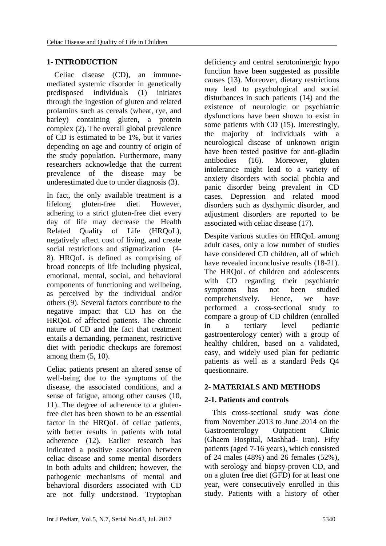### **1- INTRODUCTION**

 Celiac disease (CD), an immunemediated systemic disorder in genetically predisposed individuals [\(1\)](#page-7-0) initiates through the ingestion of gluten and related prolamins such as cereals (wheat, rye, and barley) containing gluten, a protein complex [\(2\)](#page-7-1). The overall global prevalence of CD is estimated to be 1%, but it varies depending on age and country of origin of the study population. Furthermore, many researchers acknowledge that the current prevalence of the disease may be underestimated due to under diagnosis [\(3\)](#page-7-2).

In fact, the only available treatment is a lifelong gluten-free diet. However, adhering to a strict gluten-free diet every day of life may decrease the Health Related Ouality of Life (HROoL), negatively affect cost of living, and create social restrictions and stigmatization [\(4-](#page-7-3) [8\)](#page-7-3). HRQoL is defined as comprising of broad concepts of life including physical, emotional, mental, social, and behavioral components of functioning and wellbeing, as perceived by the individual and/or others [\(9\)](#page-7-4). Several factors contribute to the negative impact that CD has on the HRQoL of affected patients. The chronic nature of CD and the fact that treatment entails a demanding, permanent, restrictive diet with periodic checkups are foremost among them  $(5, 10)$  $(5, 10)$ .

Celiac patients present an altered sense of well-being due to the symptoms of the disease, the associated conditions, and a sense of fatigue, among other causes [\(10,](#page-7-6) [11\)](#page-7-7). The degree of adherence to a glutenfree diet has been shown to be an essential factor in the HRQoL of celiac patients, with better results in patients with total adherence [\(12\)](#page-7-8). Earlier research has indicated a positive association between celiac disease and some mental disorders in both adults and children; however, the pathogenic mechanisms of mental and behavioral disorders associated with CD are not fully understood. Tryptophan

deficiency and central serotoninergic hypo function have been suggested as possible causes [\(13\)](#page-7-9). Moreover, dietary restrictions may lead to psychological and social disturbances in such patients [\(14\)](#page-8-0) and the existence of neurologic or psychiatric dysfunctions have been shown to exist in some patients with CD [\(15\)](#page-8-1). Interestingly, the majority of individuals with a neurological disease of unknown origin have been tested positive for anti-gliadin antibodies [\(16\)](#page-8-2). Moreover, gluten intolerance might lead to a variety of anxiety disorders with social phobia and panic disorder being prevalent in CD cases. Depression and related mood disorders such as dysthymic disorder, and adjustment disorders are reported to be associated with celiac disease [\(17\)](#page-8-3).

Despite various studies on HRQoL among adult cases, only a low number of studies have considered CD children, all of which have revealed inconclusive results [\(18-21\)](#page-8-4). The HRQoL of children and adolescents with CD regarding their psychiatric symptoms has not been studied comprehensively. Hence, we have performed a cross-sectional study to compare a group of CD children (enrolled in a tertiary level pediatric gastroenterology center) with a group of healthy children, based on a validated, easy, and widely used plan for pediatric patients as well as a standard Peds Q4 questionnaire.

# **2- MATERIALS AND METHODS**

# **2-1. Patients and controls**

 This cross-sectional study was done from November 2013 to June 2014 on the Gastroenterology Outpatient Clinic (Ghaem Hospital, Mashhad- Iran). Fifty patients (aged 7-16 years), which consisted of 24 males (48%) and 26 females (52%), with serology and biopsy-proven CD, and on a gluten free diet (GFD) for at least one year, were consecutively enrolled in this study. Patients with a history of other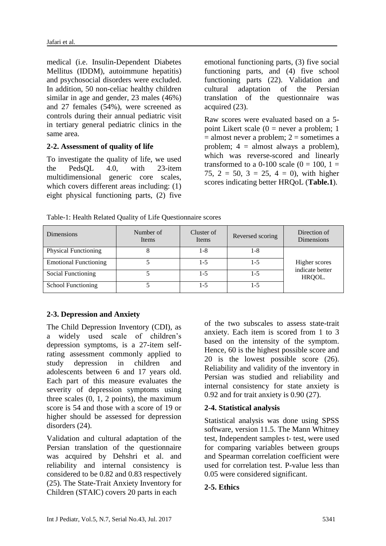medical (i.e. Insulin-Dependent Diabetes Mellitus (IDDM), autoimmune hepatitis) and psychosocial disorders were excluded. In addition, 50 non-celiac healthy children similar in age and gender, 23 males (46%) and 27 females (54%), were screened as controls during their annual pediatric visit in tertiary general pediatric clinics in the same area.

#### **2-2. Assessment of quality of life**

To investigate the quality of life, we used the PedsQL 4.0, with 23-item multidimensional generic core scales, which covers different areas including:  $(1)$ eight physical functioning parts, (2) five emotional functioning parts, (3) five social functioning parts, and (4) five school functioning parts [\(22\)](#page-8-5). Validation and cultural adaptation of the Persian translation of the questionnaire was acquired [\(23\)](#page-8-6).

Raw scores were evaluated based on a 5 point Likert scale  $(0 =$  never a problem; 1  $=$  almost never a problem;  $2 =$  sometimes a problem; 4 = almost always a problem), which was reverse-scored and linearly transformed to a 0-100 scale  $(0 = 100, 1 =$ 75,  $2 = 50$ ,  $3 = 25$ ,  $4 = 0$ ), with higher scores indicating better HRQoL (**Table.1**).

Table-1: Health Related Quality of Life Questionnaire scores

| <b>Dimensions</b>            | Number of<br>Items | Cluster of<br>Items | Reversed scoring | Direction of<br>Dimensions |  |  |
|------------------------------|--------------------|---------------------|------------------|----------------------------|--|--|
| <b>Physical Functioning</b>  |                    | 1-8                 | 1-8              |                            |  |  |
| <b>Emotional Functioning</b> |                    | 1-5                 | 1-5              | Higher scores              |  |  |
| Social Functioning           |                    | 1-5                 | 1-5              | indicate better<br>HRQOL.  |  |  |
| <b>School Functioning</b>    |                    | $1 - 5$             | 1-5              |                            |  |  |

# **2-3. Depression and Anxiety**

The Child Depression Inventory (CDI), as a widely used scale of children's depression symptoms, is a 27-item selfrating assessment commonly applied to study depression in children and adolescents between 6 and 17 years old. Each part of this measure evaluates the severity of depression symptoms using three scales  $(0, 1, 2 \text{ points})$ , the maximum score is 54 and those with a score of 19 or higher should be assessed for depression disorders [\(24\)](#page-8-7).

Validation and cultural adaptation of the Persian translation of the questionnaire was acquired by Dehshri et al. and reliability and internal consistency is considered to be 0.82 and 0.83 respectively [\(25\)](#page-8-8). The State-Trait Anxiety Inventory for Children (STAIC) covers 20 parts in each

of the two subscales to assess state-trait anxiety. Each item is scored from 1 to 3 based on the intensity of the symptom. Hence, 60 is the highest possible score and 20 is the lowest possible score [\(26\)](#page-8-9). Reliability and validity of the inventory in Persian was studied and reliability and internal consistency for state anxiety is 0.92 and for trait anxiety is 0.90 [\(27\)](#page-8-10).

# **2-4. Statistical analysis**

Statistical analysis was done using SPSS software, version 11.5. The Mann Whitney test, Independent samples t- test, were used for comparing variables between groups and Spearman correlation coefficient were used for correlation test. P-value less than 0.05 were considered significant.

# **2-5. Ethics**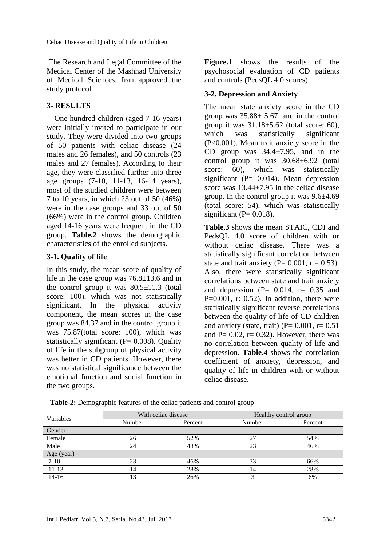The Research and Legal Committee of the Medical Center of the Mashhad University of Medical Sciences, Iran approved the study protocol.

#### **3- RESULTS**

 One hundred children (aged 7-16 years) were initially invited to participate in our study. They were divided into two groups of 50 patients with celiac disease (24 males and 26 females), and 50 controls (23 males and 27 females). According to their age, they were classified further into three age groups (7-10, 11-13, 16-14 years), most of the studied children were between 7 to 10 years, in which 23 out of 50 (46%) were in the case groups and 33 out of 50 (66%) were in the control group. Children aged 14-16 years were frequent in the CD group. **Table.2** shows the demographic characteristics of the enrolled subjects.

#### **3-1. Quality of life**

In this study, the mean score of quality of life in the case group was 76.8±13.6 and in the control group it was  $80.5 \pm 11.3$  (total score: 100), which was not statistically significant. In the physical activity component, the mean scores in the case group was 84.37 and in the control group it was 75.87(total score: 100), which was statistically significant  $(P= 0.008)$ . Quality of life in the subgroup of physical activity was better in CD patients. However, there was no statistical significance between the emotional function and social function in the two groups.

**Figure.1** shows the results of the psychosocial evaluation of CD patients and controls (PedsQL 4.0 scores).

#### **3-2. Depression and Anxiety**

The mean state anxiety score in the CD group was  $35.88 \pm 5.67$ , and in the control group it was  $31.18 \pm 5.62$  (total score: 60), which was statistically significant (P<0.001). Mean trait anxiety score in the CD group was  $34.4 \pm 7.95$ , and in the control group it was 30.68±6.92 (total score: 60), which was statistically significant ( $P = 0.014$ ). Mean depression score was  $13.44 \pm 7.95$  in the celiac disease group. In the control group it was  $9.6\pm4.69$ (total score: 54), which was statistically significant ( $P = 0.018$ ).

**Table.3** shows the mean STAIC, CDI and PedsQL 4.0 score of children with or without celiac disease. There was a statistically significant correlation between state and trait anxiety (P=  $0.001$ , r =  $0.53$ ). Also, there were statistically significant correlations between state and trait anxiety and depression  $(P= 0.014, r= 0.35, q$  $P=0.001$ , r: 0.52). In addition, there were statistically significant reverse correlations between the quality of life of CD children and anxiety (state, trait)  $(P= 0.001, r= 0.51)$ and  $P= 0.02$ ,  $r= 0.32$ ). However, there was no correlation between quality of life and depression. **Table**.**4** shows the correlation coefficient of anxiety, depression, and quality of life in children with or without celiac disease.

| Variables  | With celiac disease |         | Healthy control group |         |  |  |  |
|------------|---------------------|---------|-----------------------|---------|--|--|--|
|            | Number              | Percent | Number                | Percent |  |  |  |
| Gender     |                     |         |                       |         |  |  |  |
| Female     | 26                  | 52%     | 27                    | 54%     |  |  |  |
| Male       | 24                  | 48%     | 23                    | 46%     |  |  |  |
| Age (year) |                     |         |                       |         |  |  |  |
| $7 - 10$   | 23                  | 46%     | 33                    | 66%     |  |  |  |
| 11-13      | 14                  | 28%     | 14                    | 28%     |  |  |  |
| 14-16      | 13                  | 26%     |                       | 6%      |  |  |  |

**Table-2:** Demographic features of the celiac patients and control group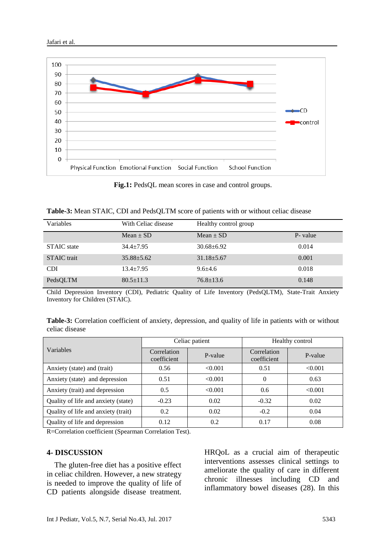



**Fig.1:** PedsQL mean scores in case and control groups.

| Variables          | With Celiac disease | Healthy control group |          |
|--------------------|---------------------|-----------------------|----------|
|                    | $Mean \pm SD$       | $Mean \pm SD$         | P- value |
| <b>STAIC</b> state | $34.4 + 7.95$       | $30.68 + 6.92$        | 0.014    |
| <b>STAIC</b> trait | $35.88 \pm 5.62$    | $31.18 \pm 5.67$      | 0.001    |
| <b>CDI</b>         | $13.4 \pm 7.95$     | $9.6 + 4.6$           | 0.018    |
| PedsQLTM           | $80.5 \pm 11.3$     | $76.8 \pm 13.6$       | 0.148    |

Child Depression Inventory (CDI), Pediatric Quality of Life Inventory (PedsQLTM), State-Trait Anxiety Inventory for Children (STAIC).

| Table-3: Correlation coefficient of anxiety, depression, and quality of life in patients with or without |  |  |  |
|----------------------------------------------------------------------------------------------------------|--|--|--|
| celiac disease                                                                                           |  |  |  |

|                                     | Celiac patient             |         | Healthy control            |         |  |
|-------------------------------------|----------------------------|---------|----------------------------|---------|--|
| Variables                           | Correlation<br>coefficient | P-value | Correlation<br>coefficient | P-value |  |
| Anxiety (state) and (trait)         | 0.56                       | < 0.001 | 0.51                       | < 0.001 |  |
| Anxiety (state) and depression      | 0.51                       | < 0.001 | 0                          | 0.63    |  |
| Anxiety (trait) and depression      | 0.5                        | < 0.001 | 0.6                        | < 0.001 |  |
| Quality of life and anxiety (state) | $-0.23$                    | 0.02    | $-0.32$                    | 0.02    |  |
| Quality of life and anxiety (trait) | 0.2                        | 0.02    | $-0.2$                     | 0.04    |  |
| Quality of life and depression      | 0.12                       | 0.2     | 0.17                       | 0.08    |  |

R=Correlation coefficient (Spearman Correlation Test).

#### **4- DISCUSSION**

 The gluten-free diet has a positive effect in celiac children. However, a new strategy is needed to improve the quality of life of CD patients alongside disease treatment. HRQoL as a crucial aim of therapeutic interventions assesses clinical settings to ameliorate the quality of care in different chronic illnesses including CD and inflammatory bowel diseases [\(28\)](#page-8-11). In this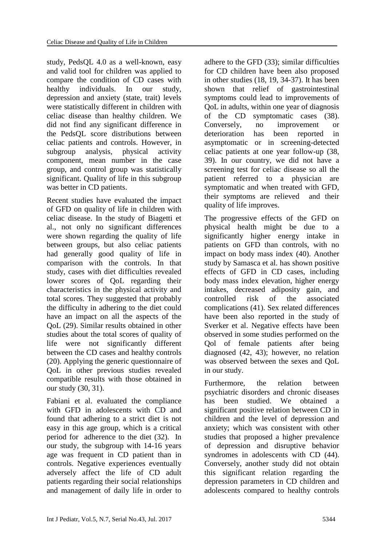study, PedsQL 4.0 as a well-known, easy and valid tool for children was applied to compare the condition of CD cases with healthy individuals. In our study, depression and anxiety (state, trait) levels were statistically different in children with celiac disease than healthy children. We did not find any significant difference in the PedsQL score distributions between celiac patients and controls. However, in subgroup analysis, physical activity component, mean number in the case group, and control group was statistically significant. Quality of life in this subgroup was better in CD patients.

Recent studies have evaluated the impact of GFD on quality of life in children with celiac disease. In the study of Biagetti et al., not only no significant differences were shown regarding the quality of life between groups, but also celiac patients had generally good quality of life in comparison with the controls. In that study, cases with diet difficulties revealed lower scores of QoL regarding their characteristics in the physical activity and total scores. They suggested that probably the difficulty in adhering to the diet could have an impact on all the aspects of the QoL [\(29\)](#page-9-0). Similar results obtained in other studies about the total scores of quality of life were not significantly different between the CD cases and healthy controls [\(20\)](#page-8-12). Applying the generic questionnaire of QoL in other previous studies revealed compatible results with those obtained in our study [\(30,](#page-9-1) [31\)](#page-9-2).

Fabiani et al. evaluated the compliance with GFD in adolescents with CD and found that adhering to a strict diet is not easy in this age group, which is a critical period for adherence to the diet [\(32\)](#page-9-3). In our study, the subgroup with 14-16 years age was frequent in CD patient than in controls. Negative experiences eventually adversely affect the life of CD adult patients regarding their social relationships and management of daily life in order to adhere to the GFD [\(33\)](#page-9-4); similar difficulties for CD children have been also proposed in other studies [\(18,](#page-8-4) [19,](#page-8-13) [34-37\)](#page-9-5). It has been shown that relief of gastrointestinal symptoms could lead to improvements of QoL in adults, within one year of diagnosis of the CD symptomatic cases [\(38\)](#page-9-6). Conversely, no improvement or deterioration has been reported in asymptomatic or in screening-detected celiac patients at one year follow-up [\(38,](#page-9-6) [39\)](#page-9-7). In our country, we did not have a screening test for celiac disease so all the patient referred to a physician are symptomatic and when treated with GFD, their symptoms are relieved and their quality of life improves.

The progressive effects of the GFD on physical health might be due to a significantly higher energy intake in patients on GFD than controls, with no impact on body mass index [\(40\)](#page-9-8). Another study by Samasca et al. has shown positive effects of GFD in CD cases, including body mass index elevation, higher energy intakes, decreased adiposity gain, and controlled risk of the associated complications [\(41\)](#page-9-9). Sex related differences have been also reported in the study of Sverker et al. Negative effects have been observed in some studies performed on the Qol of female patients after being diagnosed [\(42,](#page-9-10) [43\)](#page-9-11); however, no relation was observed between the sexes and QoL in our study.

Furthermore, the relation between psychiatric disorders and chronic diseases has been studied. We obtained a significant positive relation between CD in children and the level of depression and anxiety; which was consistent with other studies that proposed a higher prevalence of depression and disruptive behavior syndromes in adolescents with CD [\(44\)](#page-10-0). Conversely, another study did not obtain this significant relation regarding the depression parameters in CD children and adolescents compared to healthy controls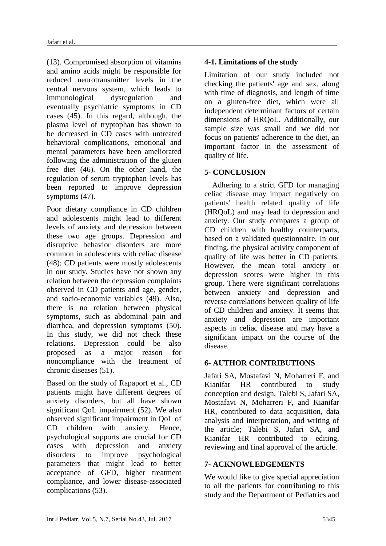[\(13\)](#page-7-9). Compromised absorption of vitamins and amino acids might be responsible for reduced neurotransmitter levels in the central nervous system, which leads to immunological dysregulation and eventually psychiatric symptoms in CD cases [\(45\)](#page-10-1). In this regard, although, the plasma level of tryptophan has shown to be decreased in CD cases with untreated behavioral complications, emotional and mental parameters have been ameliorated following the administration of the gluten free diet [\(46\)](#page-10-2). On the other hand, the regulation of serum tryptophan levels has been reported to improve depression symptoms [\(47\)](#page-10-3).

Poor dietary compliance in CD children and adolescents might lead to different levels of anxiety and depression between these two age groups. Depression and disruptive behavior disorders are more common in adolescents with celiac disease [\(48\)](#page-10-4); CD patients were mostly adolescents in our study. Studies have not shown any relation between the depression complaints observed in CD patients and age, gender, and socio-economic variables [\(49\)](#page-10-5). Also, there is no relation between physical symptoms, such as abdominal pain and diarrhea, and depression symptoms [\(50\)](#page-10-6). In this study, we did not check these relations. Depression could be also proposed as a major reason for noncompliance with the treatment of chronic diseases [\(51\)](#page-10-7).

Based on the study of Rapaport et al., CD patients might have different degrees of anxiety disorders, but all have shown significant QoL impairment [\(52\)](#page-10-8). We also observed significant impairment in QoL of CD children with anxiety. Hence, psychological supports are crucial for CD cases with depression and anxiety disorders to improve psychological parameters that might lead to better acceptance of GFD, higher treatment compliance, and lower disease-associated complications [\(53\)](#page-10-9).

# **4-1. Limitations of the study**

Limitation of our study included not checking the patients' age and sex, along with time of diagnosis, and length of time on a gluten-free diet, which were all independent determinant factors of certain dimensions of HRQoL. Additionally, our sample size was small and we did not focus on patients' adherence to the diet, an important factor in the assessment of quality of life.

# **5- CONCLUSION**

 Adhering to a strict GFD for managing celiac disease may impact negatively on patients' health related quality of life (HRQoL) and may lead to depression and anxiety. Our study compares a group of CD children with healthy counterparts, based on a validated questionnaire. In our finding, the physical activity component of quality of life was better in CD patients. However, the mean total anxiety or depression scores were higher in this group. There were significant correlations between anxiety and depression and reverse correlations between quality of life of CD children and anxiety. It seems that anxiety and depression are important aspects in celiac disease and may have a significant impact on the course of the disease.

# **6- AUTHOR CONTRIBUTIONS**

Jafari SA, Mostafavi N, Moharreri F, and Kianifar HR contributed to study conception and design, Talebi S, Jafari SA, Mostafavi N, Moharreri F, and Kianifar HR, contributed to data acquisition, data analysis and interpretation, and writing of the article; Talebi S, Jafari SA, and Kianifar HR contributed to editing, reviewing and final approval of the article.

# **7- ACKNOWLEDGEMENTS**

We would like to give special appreciation to all the patients for contributing to this study and the Department of Pediatrics and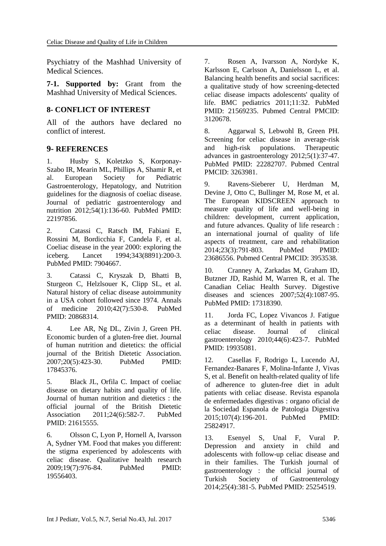Psychiatry of the Mashhad University of Medical Sciences.

**7-1. Supported by:** Grant from the Mashhad University of Medical Sciences.

### **8- CONFLICT OF INTEREST**

All of the authors have declared no conflict of interest.

#### **9- REFERENCES**

<span id="page-7-0"></span>1. Husby S, Koletzko S, Korponay-Szabo IR, Mearin ML, Phillips A, Shamir R, et al. European Society for Pediatric Gastroenterology, Hepatology, and Nutrition guidelines for the diagnosis of coeliac disease. Journal of pediatric gastroenterology and nutrition 2012;54(1):136-60. PubMed PMID: 22197856.

<span id="page-7-1"></span>2. Catassi C, Ratsch IM, Fabiani E, Rossini M, Bordicchia F, Candela F, et al. Coeliac disease in the year 2000: exploring the iceberg. Lancet 1994;343(8891):200-3. PubMed PMID: 7904667.

<span id="page-7-2"></span>3. Catassi C, Kryszak D, Bhatti B, Sturgeon C, Helzlsouer K, Clipp SL, et al. Natural history of celiac disease autoimmunity in a USA cohort followed since 1974. Annals of medicine 2010;42(7):530-8. PubMed PMID: 20868314.

<span id="page-7-3"></span>4. Lee AR, Ng DL, Zivin J, Green PH. Economic burden of a gluten-free diet. Journal of human nutrition and dietetics: the official journal of the British Dietetic Association. 2007;20(5):423-30. PubMed PMID: 17845376.

<span id="page-7-5"></span>5. Black JL, Orfila C. Impact of coeliac disease on dietary habits and quality of life. Journal of human nutrition and dietetics : the official journal of the British Dietetic Association 2011;24(6):582-7. PubMed PMID: 21615555.

6. Olsson C, Lyon P, Hornell A, Ivarsson A, Sydner YM. Food that makes you different: the stigma experienced by adolescents with celiac disease. Qualitative health research 2009;19(7):976-84. PubMed PMID: 19556403.

7. Rosen A, Ivarsson A, Nordyke K, Karlsson E, Carlsson A, Danielsson L, et al. Balancing health benefits and social sacrifices: a qualitative study of how screening-detected celiac disease impacts adolescents' quality of life. BMC pediatrics 2011;11:32. PubMed PMID: 21569235. Pubmed Central PMCID: 3120678.

8. Aggarwal S, Lebwohl B, Green PH. Screening for celiac disease in average-risk and high-risk populations. Therapeutic advances in gastroenterology 2012;5(1):37-47. PubMed PMID: 22282707. Pubmed Central PMCID: 3263981.

<span id="page-7-4"></span>9. Ravens-Sieberer U, Herdman M, Devine J, Otto C, Bullinger M, Rose M, et al. The European KIDSCREEN approach to measure quality of life and well-being in children: development, current application, and future advances. Quality of life research : an international journal of quality of life aspects of treatment, care and rehabilitation 2014;23(3):791-803. PubMed PMID: 23686556. Pubmed Central PMCID: 3953538.

<span id="page-7-6"></span>10. Cranney A, Zarkadas M, Graham ID, Butzner JD, Rashid M, Warren R, et al. The Canadian Celiac Health Survey. Digestive diseases and sciences 2007;52(4):1087-95. PubMed PMID: 17318390.

<span id="page-7-7"></span>11. Jorda FC, Lopez Vivancos J. Fatigue as a determinant of health in patients with celiac disease. Journal of clinical gastroenterology 2010;44(6):423-7. PubMed PMID: 19935081.

<span id="page-7-8"></span>12. Casellas F, Rodrigo L, Lucendo AJ, Fernandez-Banares F, Molina-Infante J, Vivas S, et al. Benefit on health-related quality of life of adherence to gluten-free diet in adult patients with celiac disease. Revista espanola de enfermedades digestivas : organo oficial de la Sociedad Espanola de Patologia Digestiva 2015;107(4):196-201. PubMed PMID: 25824917.

<span id="page-7-9"></span>13. Esenyel S, Unal F, Vural P. Depression and anxiety in child and adolescents with follow-up celiac disease and in their families. The Turkish journal of gastroenterology : the official journal of Turkish Society of Gastroenterology 2014;25(4):381-5. PubMed PMID: 25254519.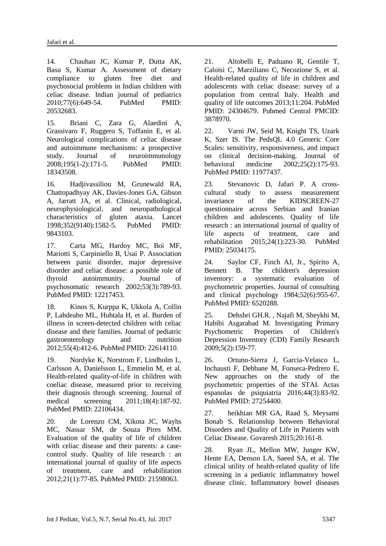<span id="page-8-0"></span>14. Chauhan JC, Kumar P, Dutta AK, Basu S, Kumar A. Assessment of dietary compliance to gluten free diet and psychosocial problems in Indian children with celiac disease. Indian journal of pediatrics 2010;77(6):649-54. PubMed PMID: 20532683.

<span id="page-8-1"></span>15. Briani C, Zara G, Alaedini A, Grassivaro F, Ruggero S, Toffanin E, et al. Neurological complications of celiac disease and autoimmune mechanisms: a prospective study. Journal of neuroimmunology 2008;195(1-2):171-5. PubMed PMID: 18343508.

<span id="page-8-2"></span>16. Hadjivassiliou M, Grunewald RA, Chattopadhyay AK, Davies-Jones GA, Gibson A, Jarratt JA, et al. Clinical, radiological, neurophysiological, and neuropathological characteristics of gluten ataxia. Lancet 1998;352(9140):1582-5. PubMed PMID: 9843103.

<span id="page-8-3"></span>17. Carta MG, Hardoy MC, Boi MF, Mariotti S, Carpiniello B, Usai P. Association between panic disorder, major depressive disorder and celiac disease: a possible role of thyroid autoimmunity. Journal of psychosomatic research 2002;53(3):789-93. PubMed PMID: 12217453.

<span id="page-8-4"></span>18. Kinos S, Kurppa K, Ukkola A, Collin P, Lahdeaho ML, Huhtala H, et al. Burden of illness in screen-detected children with celiac disease and their families. Journal of pediatric gastroenterology and nutrition 2012;55(4):412-6. PubMed PMID: 22614110.

<span id="page-8-13"></span>19. Nordyke K, Norstrom F, Lindholm L, Carlsson A, Danielsson L, Emmelin M, et al. Health-related quality-of-life in children with coeliac disease, measured prior to receiving their diagnosis through screening. Journal of medical screening 2011;18(4):187-92. PubMed PMID: 22106434.

<span id="page-8-12"></span>20. de Lorenzo CM, Xikota JC, Wayhs MC, Nassar SM, de Souza Pires MM. Evaluation of the quality of life of children with celiac disease and their parents: a casecontrol study. Quality of life research : an international journal of quality of life aspects of treatment, care and rehabilitation 2012;21(1):77-85. PubMed PMID: 21598063.

21. Altobelli E, Paduano R, Gentile T, Caloisi C, Marziliano C, Necozione S, et al. Health-related quality of life in children and adolescents with celiac disease: survey of a population from central Italy. Health and quality of life outcomes 2013;11:204. PubMed PMID: 24304679. Pubmed Central PMCID: 3878970.

<span id="page-8-5"></span>22. Varni JW, Seid M, Knight TS, Uzark K, Szer IS. The PedsQL 4.0 Generic Core Scales: sensitivity, responsiveness, and impact on clinical decision-making. Journal of behavioral medicine 2002;25(2):175-93. PubMed PMID: 11977437.

<span id="page-8-6"></span>23. Stevanovic D, Jafari P. A crosscultural study to assess measurement invariance of the KIDSCREEN-27 questionnaire across Serbian and Iranian children and adolescents. Quality of life research : an international journal of quality of life aspects of treatment, care and rehabilitation 2015;24(1):223-30. PubMed PMID: 25034175.

<span id="page-8-7"></span>24. Saylor CF, Finch AJ, Jr., Spirito A, Bennett B. The children's depression inventory: a systematic evaluation of psychometric properties. Journal of consulting and clinical psychology 1984;52(6):955-67. PubMed PMID: 6520288.

<span id="page-8-8"></span>25. [Dehshri GH.R.](http://en.journals.sid.ir/SearchPaper.aspx?writer=25533) , [Najafi M](http://en.journals.sid.ir/SearchPaper.aspx?writer=247637), [Sheykhi M](http://en.journals.sid.ir/SearchPaper.aspx?writer=227245)[,](http://en.journals.sid.ir/SearchPaper.aspx?writer=167148) [Habibi Asgarabad M.](http://en.journals.sid.ir/SearchPaper.aspx?writer=167148) Investigating Primary Psychometric Properties of Children's Depression Inventory (CDI) Family Research 2009;5(2):159-77.

<span id="page-8-9"></span>26. Ortuno-Sierra J, Garcia-Velasco L, Inchausti F, Debbane M, Fonseca-Pedrero E. New approaches on the study of the psychometric properties of the STAI. Actas espanolas de psiquiatria 2016;44(3):83-92. PubMed PMID: 27254400.

<span id="page-8-10"></span>27. heikhian MR GA, Raad S, Meysami Bonab S. Relationship between Behavioral Disorders and Quality of Life in Patients with Celiac Disease. Govaresh 2015;20:161-8.

<span id="page-8-11"></span>28. Ryan JL, Mellon MW, Junger KW, Hente EA, Denson LA, Saeed SA, et al. The clinical utility of health-related quality of life screening in a pediatric inflammatory bowel disease clinic. Inflammatory bowel diseases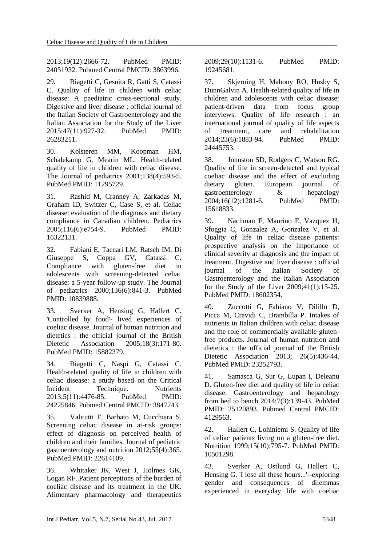2013;19(12):2666-72. PubMed PMID: 24051932. Pubmed Central PMCID: 3863996.

<span id="page-9-0"></span>29. Biagetti C, Gesuita R, Gatti S, Catassi C. Quality of life in children with celiac disease: A paediatric cross-sectional study. Digestive and liver disease : official journal of the Italian Society of Gastroenterology and the Italian Association for the Study of the Liver 2015;47(11):927-32. PubMed PMID: 26283211.

<span id="page-9-1"></span>30. Kolsteren MM, Koopman HM, Schalekamp G, Mearin ML. Health-related quality of life in children with celiac disease. The Journal of pediatrics 2001;138(4):593-5. PubMed PMID: 11295729.

<span id="page-9-2"></span>31. Rashid M, Cranney A, Zarkadas M, Graham ID, Switzer C, Case S, et al. Celiac disease: evaluation of the diagnosis and dietary compliance in Canadian children. Pediatrics 2005;116(6):e754-9. PubMed PMID: 16322131.

<span id="page-9-3"></span>32. Fabiani E, Taccari LM, Ratsch IM, Di Giuseppe S, Coppa GV, Catassi C. Compliance with gluten-free diet in adolescents with screening-detected celiac disease: a 5-year follow-up study. The Journal of pediatrics 2000;136(6):841-3. PubMed PMID: 10839888.

<span id="page-9-4"></span>33. Sverker A, Hensing G, Hallert C. 'Controlled by food'- lived experiences of coeliac disease. Journal of human nutrition and dietetics : the official journal of the British Dietetic Association 2005;18(3):171-80. PubMed PMID: 15882379.

<span id="page-9-5"></span>34. Biagetti C, Naspi G, Catassi C. Health-related quality of life in children with celiac disease: a study based on the Critical Incident Technique. Nutrients 2013;5(11):4476-85. PubMed PMID: 24225846. Pubmed Central PMCID: 3847743.

35. Valitutti F, Barbato M, Cucchiara S. Screening celiac disease in at-risk groups: effect of diagnosis on perceived health of children and their families. Journal of pediatric gastroenterology and nutrition 2012;55(4):365. PubMed PMID: 22614109.

36. Whitaker JK, West J, Holmes GK, Logan RF. Patient perceptions of the burden of coeliac disease and its treatment in the UK. Alimentary pharmacology and therapeutics 2009;29(10):1131-6. PubMed PMID: 19245681.

37. Skjerning H, Mahony RO, Husby S, DunnGalvin A. Health-related quality of life in children and adolescents with celiac disease: patient-driven data from focus group interviews. Quality of life research : an international journal of quality of life aspects of treatment, care and rehabilitation 2014;23(6):1883-94. PubMed PMID: 24445753.

<span id="page-9-6"></span>38. Johnston SD, Rodgers C, Watson RG. Quality of life in screen-detected and typical coeliac disease and the effect of excluding dietary gluten. European journal of gastroenterology & hepatology 2004;16(12):1281-6. PubMed PMID: 15618833.

<span id="page-9-7"></span>39. Nachman F, Maurino E, Vazquez H, Sfoggia C, Gonzalez A, Gonzalez V, et al. Quality of life in celiac disease patients: prospective analysis on the importance of clinical severity at diagnosis and the impact of treatment. Digestive and liver disease : official journal of the Italian Society of Gastroenterology and the Italian Association for the Study of the Liver 2009;41(1):15-25. PubMed PMID: 18602354.

<span id="page-9-8"></span>40. Zuccotti G, Fabiano V, Dilillo D, Picca M, Cravidi C, Brambilla P. Intakes of nutrients in Italian children with celiac disease and the role of commercially available glutenfree products. Journal of human nutrition and dietetics : the official journal of the British Dietetic Association 2013; 26(5):436-44. PubMed PMID: 23252793.

<span id="page-9-9"></span>41. Samasca G, Sur G, Lupan I, Deleanu D. Gluten-free diet and quality of life in celiac disease. Gastroenterology and hepatology from bed to bench 2014;7(3):139-43. PubMed PMID: 25120893. Pubmed Central PMCID: 4129563.

<span id="page-9-10"></span>42. Hallert C, Lohiniemi S. Quality of life of celiac patients living on a gluten-free diet. Nutrition 1999;15(10):795-7. PubMed PMID: 10501298.

<span id="page-9-11"></span>43. Sverker A, Ostlund G, Hallert C, Hensing G. 'I lose all these hours...'--exploring gender and consequences of dilemmas experienced in everyday life with coeliac